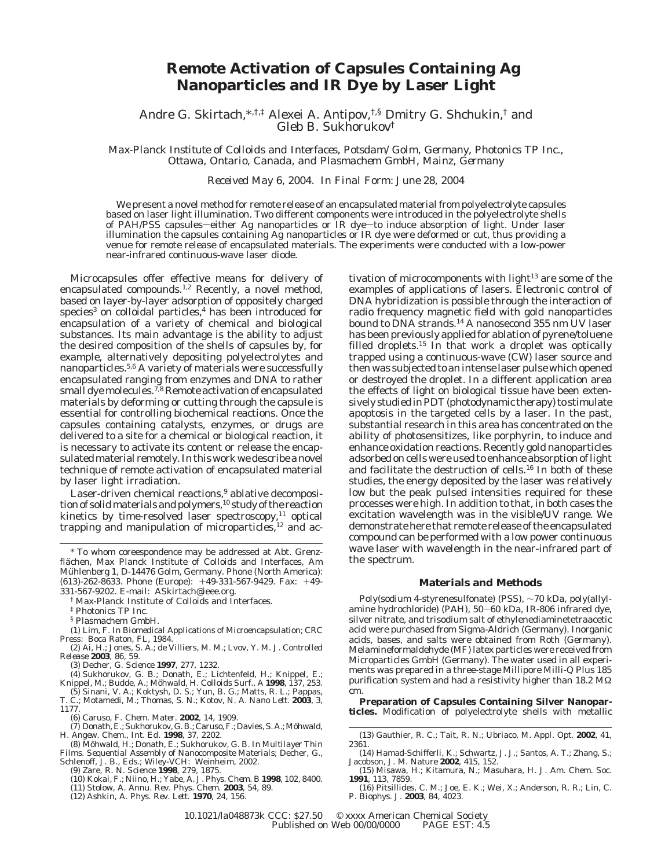## **Remote Activation of Capsules Containing Ag Nanoparticles and IR Dye by Laser Light**

Andre G. Skirtach,<sup>\*,†,‡</sup> Alexei A. Antipov,<sup>†,§</sup> Dmitry G. Shchukin,<sup>†</sup> and Gleb B. Sukhorukov†

*Max-Planck Institute of Colloids and Interfaces, Potsdam/Golm, Germany, Photonics TP Inc., Ottawa, Ontario, Canada, and Plasmachem GmbH, Mainz, Germany*

*Received May 6, 2004. In Final Form: June 28, 2004*

We present a novel method for remote release of an encapsulated material from polyelectrolyte capsules based on laser light illumination. Two different components were introduced in the polyelectrolyte shells of PAH/PSS capsules—either Ag nanoparticles or IR dye—to induce absorption of light. Under laser illumination the capsules containing Ag nanoparticles or IR dye were deformed or cut, thus providing a venue for remote release of encapsulated materials. The experiments were conducted with a low-power near-infrared continuous-wave laser diode.

Microcapsules offer effective means for delivery of encapsulated compounds.<sup>1,2</sup> Recently, a novel method, based on layer-by-layer adsorption of oppositely charged species<sup>3</sup> on colloidal particles,<sup>4</sup> has been introduced for encapsulation of a variety of chemical and biological substances. Its main advantage is the ability to adjust the desired composition of the shells of capsules by, for example, alternatively depositing polyelectrolytes and nanoparticles.5,6 A variety of materials were successfully encapsulated ranging from enzymes and DNA to rather small dye molecules.<sup>7,8</sup> Remote activation of encapsulated materials by deforming or cutting through the capsule is essential for controlling biochemical reactions. Once the capsules containing catalysts, enzymes, or drugs are delivered to a site for a chemical or biological reaction, it is necessary to activate its content or release the encapsulated material remotely. In this work we describe a novel technique of remote activation of encapsulated material by laser light irradiation.

Laser-driven chemical reactions,<sup>9</sup> ablative decomposition of solid materials and polymers,<sup>10</sup> study of the reaction kinetics by time-resolved laser spectroscopy, $11$  optical trapping and manipulation of microparticles,<sup>12</sup> and ac-

\* To whom coreespondence may be addressed at Abt. Grenzflächen, Max Planck Institute of Colloids and Interfaces, Am Mühlenberg 1, D-14476 Golm, Germany. Phone (North America): (613)-262-8633. Phone (Europe): +49-331-567-9429. Fax: +49- 331-567-9202. E-mail: ASkirtach@ieee.org.

(1) Lim, F. In *Biomedical Applications of Microencapsulation*; CRC Press: Boca Raton, FL, 1984.

(2) Ai, H.; Jones, S. A.; de Villiers, M. M.; Lvov, Y. M. *J. Controlled Release* **2003**, *86*, 59.

(3) Decher, G. *Science* **1997**, *277*, 1232.

(4) Sukhorukov, G. B.; Donath, E.; Lichtenfeld, H.; Knippel, E.;<br>Knippel, M.; Budde, A.; Möhwald, H. *Colloids Surf., A* **1998**, *137*, 253.

(5) Sinani, V. A.; Koktysh, D. S.; Yun, B. G.; Matts, R. L.; Pappas, T. C.; Motamedi, M.; Thomas, S. N.; Kotov, N. A. *Nano Lett.* **2003**, *3*, 1177.

(6) Caruso, F. *Chem. Mater.* **2002**, *14*, 1909.

(7) Donath, E.; Sukhorukov, G. B.; Caruso, F.; Davies, S. A.; Möhwald,

H. *Angew. Chem., Int. Ed*. **1998**, *37*, 2202.<br>(8) Möhwald, H.; Donath, E.; Sukhorukov, G. B. In *Multilayer Thin Films. Sequential Assembly of Nanocomposite Materials*; Decher, G., Schlenoff, J. B., Eds.; Wiley-VCH: Weinheim, 2002.

(9) Zare, R. N. *Science* **1998**, *279*, 1875. (10) Kokai, F.; Niino, H.; Yabe, A*. J. Phys. Chem. B* **1998**, *102*, 8400.

(11) Stolow, A. *Annu. Rev. Phys. Chem.* **2003**, *54*, 89.

(12) Ashkin, A. *Phys. Rev. Lett.* **1970**, *24*, 156.

tivation of microcomponents with light<sup>13</sup> are some of the examples of applications of lasers. Electronic control of DNA hybridization is possible through the interaction of radio frequency magnetic field with gold nanoparticles bound to DNA strands.14 A nanosecond 355 nm UV laser has been previously applied for ablation of pyrene/toluene filled droplets.<sup>15</sup> In that work a droplet was optically trapped using a continuous-wave (CW) laser source and then was subjected to an intense laser pulse which opened or destroyed the droplet. In a different application area the effects of light on biological tissue have been extensively studied in PDT (photodynamic therapy) to stimulate apoptosis in the targeted cells by a laser. In the past, substantial research in this area has concentrated on the ability of photosensitizes, like porphyrin, to induce and enhance oxidation reactions. Recently gold nanoparticles adsorbed on cells were used to enhance absorption of light and facilitate the destruction of cells.16 In both of these studies, the energy deposited by the laser was relatively low but the peak pulsed intensities required for these processes were high. In addition to that, in both cases the excitation wavelength was in the visible/UV range. We demonstrate here that remote release of the encapsulated compound can be performed with a low power continuous wave laser with wavelength in the near-infrared part of the spectrum.

## **Materials and Methods**

Poly(sodium 4-styrenesulfonate) (PSS), ∼70 kDa, poly(allylamine hydrochloride) (PAH), 50-60 kDa, IR-806 infrared dye, silver nitrate, and trisodium salt of ethylenediaminetetraacetic acid were purchased from Sigma-Aldrich (Germany). Inorganic acids, bases, and salts were obtained from Roth (Germany). Melamineformaldehyde (MF) latex particles were received from Microparticles GmbH (Germany). The water used in all experiments was prepared in a three-stage Millipore Milli-Q Plus 185 purification system and had a resistivity higher than 18.2 MΩ cm.

**Preparation of Capsules Containing Silver Nanoparticles.** Modification of polyelectrolyte shells with metallic

(13) Gauthier, R. C.; Tait, R. N.; Ubriaco, M. *Appl. Opt.* **2002**, *41*, 2361.

(14) Hamad-Schifferli, K.; Schwartz, J. J.; Santos, A. T.; Zhang, S.; Jacobson, J. M. *Nature* **2002**, *415*, 152.

(15) Misawa, H.; Kitamura, N.; Masuhara, H*. J. Am. Chem. Soc.* **1991**, *113*, 7859.

(16) Pitsillides, C. M.; Joe, E. K.; Wei, X.; Anderson, R. R.; Lin, C. P. *Biophys. J.* **2003**, *84*, 4023.

10.1021/la048873k CCC: \$27.50 © xxxx American Chemical Society Published on Web 00/00/0000

<sup>†</sup> Max-Planck Institute of Colloids and Interfaces.

<sup>‡</sup> Photonics TP Inc.

<sup>§</sup> Plasmachem GmbH.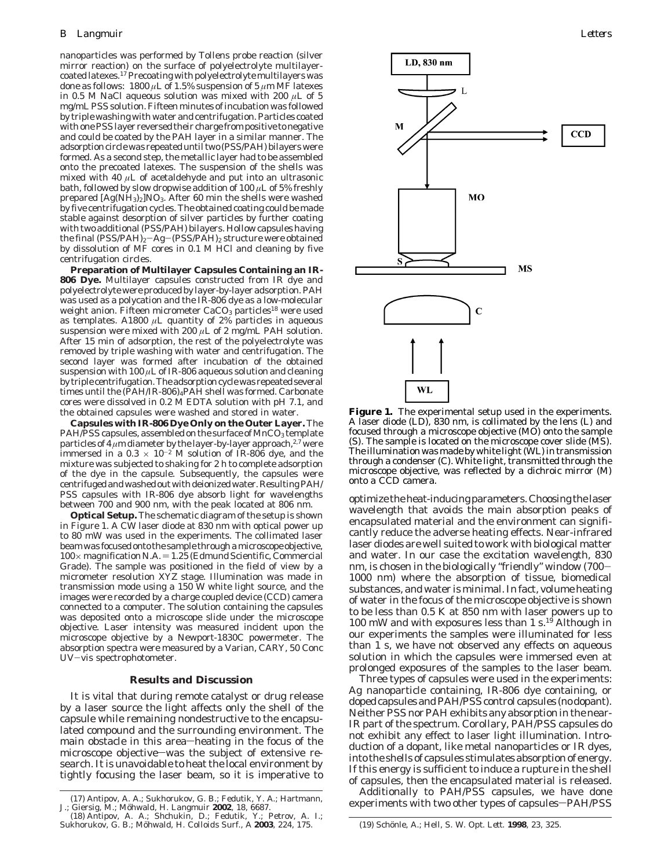nanoparticles was performed by Tollens probe reaction (silver mirror reaction) on the surface of polyelectrolyte multilayercoated latexes.<sup>17</sup> Precoating with polyelectrolyte multilayers was done as follows: 1800 *µ*L of 1.5% suspension of 5 *µ*m MF latexes in 0.5 M NaCl aqueous solution was mixed with 200 *µ*L of 5 mg/mL PSS solution. Fifteen minutes of incubation was followed by triple washing with water and centrifugation. Particles coated with one PSS layer reversed their charge from positive to negative and could be coated by the PAH layer in a similar manner. The adsorption circle was repeated until two (PSS/PAH) bilayers were formed. As a second step, the metallic layer had to be assembled onto the precoated latexes. The suspension of the shells was mixed with 40 *µ*L of acetaldehyde and put into an ultrasonic bath, followed by slow dropwise addition of 100 *µ*L of 5% freshly prepared  $[Ag(NH_3)_2]NO_3$ . After 60 min the shells were washed by five centrifugation cycles. The obtained coating could be made stable against desorption of silver particles by further coating with two additional (PSS/PAH) bilayers. Hollow capsules having the final  $(PSS/PAH)_2-Ag-(PSS/PAH)_2$  structure were obtained by dissolution of MF cores in 0.1 M HCl and cleaning by five centrifugation circles.

**Preparation of Multilayer Capsules Containing an IR-806 Dye.** Multilayer capsules constructed from IR dye and polyelectrolyte were produced by layer-by-layer adsorption. PAH was used as a polycation and the IR-806 dye as a low-molecular weight anion. Fifteen micrometer  $\rm CaCO_{3}$  particles $^{18}$  were used as templates. A1800  $\mu$ L quantity of 2% particles in aqueous suspension were mixed with 200  $\mu$ L of 2 mg/mL PAH solution. After 15 min of adsorption, the rest of the polyelectrolyte was removed by triple washing with water and centrifugation. The second layer was formed after incubation of the obtained suspension with 100 *µ*L of IR-806 aqueous solution and cleaning by triple centrifugation. The adsorption cycle was repeated several times until the (PAH/IR-806)<sub>4</sub>PAH shell was formed. Carbonate cores were dissolved in 0.2 M EDTA solution with pH 7.1, and the obtained capsules were washed and stored in water.

**Capsules with IR-806 Dye Only on the Outer Layer.** The PAH/PSS capsules, assembled on the surface of  $MnCO<sub>3</sub>$  template particles of 4  $\mu$ m diameter by the layer-by-layer approach,<sup>2,7</sup> were immersed in a  $0.3 \times 10^{-2}$  M solution of IR-806 dye, and the mixture was subjected to shaking for 2 h to complete adsorption of the dye in the capsule. Subsequently, the capsules were centrifuged and washed out with deionized water. Resulting PAH/ PSS capsules with IR-806 dye absorb light for wavelengths between 700 and 900 nm, with the peak located at 806 nm.

**Optical Setup.** The schematic diagram of the setup is shown in Figure 1. A CW laser diode at 830 nm with optical power up to 80 mW was used in the experiments. The collimated laser beam was focused onto the sample through a microscope objective,  $100\times$  magnification N.A. = 1.25 (Edmund Scientific, Commercial Grade). The sample was positioned in the field of view by a micrometer resolution XYZ stage. Illumination was made in transmission mode using a 150 W white light source, and the images were recorded by a charge coupled device (CCD) camera connected to a computer. The solution containing the capsules was deposited onto a microscope slide under the microscope objective. Laser intensity was measured incident upon the microscope objective by a Newport-1830C powermeter. The absorption spectra were measured by a Varian, CARY, 50 Conc UV-vis spectrophotometer.

## **Results and Discussion**

It is vital that during remote catalyst or drug release by a laser source the light affects only the shell of the capsule while remaining nondestructive to the encapsulated compound and the surrounding environment. The main obstacle in this area-heating in the focus of the microscope objective-was the subject of extensive research. It is unavoidable to heat the local environment by tightly focusing the laser beam, so it is imperative to



**Figure 1.** The experimental setup used in the experiments. A laser diode (LD), 830 nm, is collimated by the lens (L) and focused through a microscope objective (MO) onto the sample (S). The sample is located on the microscope cover slide (MS). The illumination was made by white light (WL) in transmission through a condenser (C). White light, transmitted through the microscope objective, was reflected by a dichroic mirror (M) onto a CCD camera.

optimize the heat-inducing parameters. Choosing the laser wavelength that avoids the main absorption peaks of encapsulated material and the environment can significantly reduce the adverse heating effects. Near-infrared laser diodes are well suited to work with biological matter and water. In our case the excitation wavelength, 830 nm, is chosen in the biologically "friendly" window (700- 1000 nm) where the absorption of tissue, biomedical substances, and water is minimal. In fact, volume heating of water in the focus of the microscope objective is shown to be less than 0.5 K at 850 nm with laser powers up to 100 mW and with exposures less than 1 s.<sup>19</sup> Although in our experiments the samples were illuminated for less than 1 s, we have not observed any effects on aqueous solution in which the capsules were immersed even at prolonged exposures of the samples to the laser beam.

Three types of capsules were used in the experiments: Ag nanoparticle containing, IR-806 dye containing, or doped capsules and PAH/PSS control capsules (no dopant). Neither PSS nor PAH exhibits any absorption in the near-IR part of the spectrum. Corollary, PAH/PSS capsules do not exhibit any effect to laser light illumination. Introduction of a dopant, like metal nanoparticles or IR dyes, into the shells of capsules stimulates absorption of energy. If this energy is sufficient to induce a rupture in the shell of capsules, then the encapsulated material is released.

Additionally to PAH/PSS capsules, we have done

<sup>(17)</sup> Antipov, A. A.; Sukhorukov, G. B.; Fedutik, Y. A.; Hartmann,<br>J.; Giersig, M.; Möhwald, H. *Langmuir* 2**002**, 1*8*, 6687.<br>(18) Antipov, A. A.; Shchukin, D.; Fedutik, Y.; Petrov, A. I.;<br>Sukhorukov, G. B.; Möhwald, H. *C*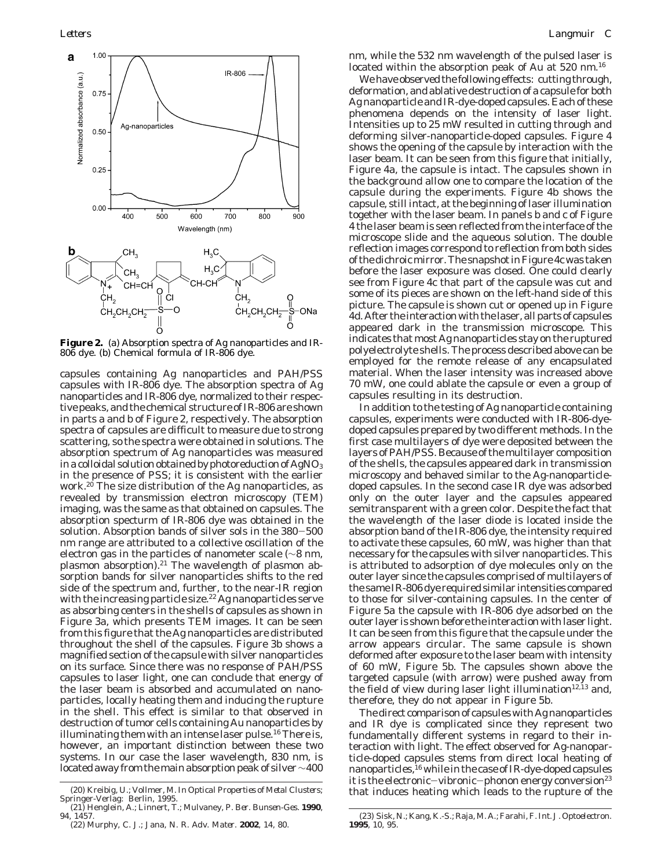

**Figure 2.** (a) Absorption spectra of Ag nanoparticles and IR-806 dye. (b) Chemical formula of IR-806 dye.

capsules containing Ag nanoparticles and PAH/PSS capsules with IR-806 dye. The absorption spectra of Ag nanoparticles and IR-806 dye, normalized to their respective peaks, and the chemical structure of IR-806 are shown in parts a and b of Figure 2, respectively. The absorption spectra of capsules are difficult to measure due to strong scattering, so the spectra were obtained in solutions. The absorption spectrum of Ag nanoparticles was measured in a colloidal solution obtained by photoreduction of  $AgNO<sub>3</sub>$ in the presence of PSS; it is consistent with the earlier work.<sup>20</sup> The size distribution of the Ag nanoparticles, as revealed by transmission electron microscopy (TEM) imaging, was the same as that obtained on capsules. The absorption specturm of IR-806 dye was obtained in the solution. Absorption bands of silver sols in the 380-<sup>500</sup> nm range are attributed to a collective oscillation of the electron gas in the particles of nanometer scale (∼8 nm, plasmon absorption).<sup>21</sup> The wavelength of plasmon absorption bands for silver nanoparticles shifts to the red side of the spectrum and, further, to the near-IR region with the increasing particle size.<sup>22</sup> Ag nanoparticles serve as absorbing centers in the shells of capsules as shown in Figure 3a, which presents TEM images. It can be seen from this figure that the Ag nanoparticles are distributed throughout the shell of the capsules. Figure 3b shows a magnified section of the capsule with silver nanoparticles on its surface. Since there was no response of PAH/PSS capsules to laser light, one can conclude that energy of the laser beam is absorbed and accumulated on nanoparticles, locally heating them and inducing the rupture in the shell. This effect is similar to that observed in destruction of tumor cells containing Au nanoparticles by illuminating them with an intense laser pulse.<sup>16</sup> There is, however, an important distinction between these two systems. In our case the laser wavelength, 830 nm, is located away from the main absorption peak of silver∼400

nm, while the 532 nm wavelength of the pulsed laser is located within the absorption peak of Au at 520 nm.16

We have observed the following effects: cutting through, deformation, and ablative destruction of a capsule for both Ag nanoparticle and IR-dye-doped capsules. Each of these phenomena depends on the intensity of laser light. Intensities up to 25 mW resulted in cutting through and deforming silver-nanoparticle-doped capsules. Figure 4 shows the opening of the capsule by interaction with the laser beam. It can be seen from this figure that initially, Figure 4a, the capsule is intact. The capsules shown in the background allow one to compare the location of the capsule during the experiments. Figure 4b shows the capsule, still intact, at the beginning of laser illumination together with the laser beam. In panels b and c of Figure 4 the laser beam is seen reflected from the interface of the microscope slide and the aqueous solution. The double reflection images correspond to reflection from both sides of the dichroic mirror. The snapshot in Figure 4c was taken before the laser exposure was closed. One could clearly see from Figure 4c that part of the capsule was cut and some of its pieces are shown on the left-hand side of this picture. The capsule is shown cut or opened up in Figure 4d. After the interaction with the laser, all parts of capsules appeared dark in the transmission microscope. This indicates that most Ag nanoparticles stay on the ruptured polyelectrolyte shells. The process described above can be employed for the remote release of any encapsulated material. When the laser intensity was increased above 70 mW, one could ablate the capsule or even a group of capsules resulting in its destruction.

In addition to the testing of Ag nanoparticle containing capsules, experiments were conducted with IR-806-dyedoped capsules prepared by two different methods. In the first case multilayers of dye were deposited between the layers of PAH/PSS. Because of the multilayer composition of the shells, the capsules appeared dark in transmission microscopy and behaved similar to the Ag-nanoparticledoped capsules. In the second case IR dye was adsorbed only on the outer layer and the capsules appeared semitransparent with a green color. Despite the fact that the wavelength of the laser diode is located inside the absorption band of the IR-806 dye, the intensity required to activate these capsules, 60 mW, was higher than that necessary for the capsules with silver nanoparticles. This is attributed to adsorption of dye molecules only on the outer layer since the capsules comprised of multilayers of the same IR-806 dye required similar intensities compared to those for silver-containing capsules. In the center of Figure 5a the capsule with IR-806 dye adsorbed on the outer layer is shown before the interaction with laser light. It can be seen from this figure that the capsule under the arrow appears circular. The same capsule is shown deformed after exposure to the laser beam with intensity of 60 mW, Figure 5b. The capsules shown above the targeted capsule (with arrow) were pushed away from the field of view during laser light illumination<sup>12,13</sup> and, therefore, they do not appear in Figure 5b.

The direct comparison of capsules with Ag nanoparticles and IR dye is complicated since they represent two fundamentally different systems in regard to their interaction with light. The effect observed for Ag-nanoparticle-doped capsules stems from direct local heating of nanoparticles,<sup>16</sup> while in the case of IR-dye-doped capsules it is the electronic-vibronic-phonon energy conversion<sup>23</sup>

<sup>(20)</sup> Kreibig, U.; Vollmer, M. In *Optical Properties of Metal Clusters*; that induces heating which leads to the rupture of the Springer-Verlag: Berlin, 1995.

<sup>(21)</sup> Henglein, A.; Linnert, T.; Mulvaney, P. *Ber. Bunsen-Ges.* **1990**, *94*, 1457.

<sup>(22)</sup> Murphy, C. J.; Jana, N. R. *Adv. Mater.* **2002**, *14*, 80.

<sup>(23)</sup> Sisk, N.; Kang, K.-S.; Raja, M. A.; Farahi, F. *Int. J. Optoelectron.* **1995**, *10*, 95.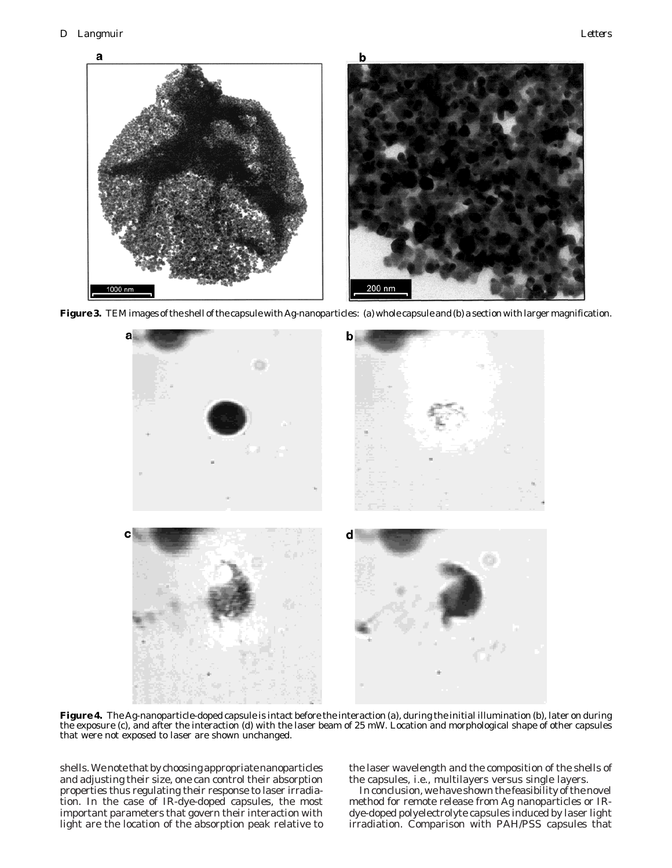

**Figure 3.** TEM images of the shell of the capsule with Ag-nanoparticles: (a) whole capsule and (b) a section with larger magnification.



**Figure 4.** The Ag-nanoparticle-doped capsule is intact before the interaction (a), during the initial illumination (b), later on during the exposure (c), and after the interaction (d) with the laser beam of 25 mW. Location and morphological shape of other capsules that were not exposed to laser are shown unchanged.

shells. We note that by choosing appropriate nanoparticles and adjusting their size, one can control their absorption properties thus regulating their response to laser irradiation. In the case of IR-dye-doped capsules, the most important parameters that govern their interaction with light are the location of the absorption peak relative to

the laser wavelength and the composition of the shells of the capsules, i.e., multilayers versus single layers.

In conclusion, we have shown the feasibility of the novel method for remote release from Ag nanoparticles or IRdye-doped polyelectrolyte capsules induced by laser light irradiation. Comparison with PAH/PSS capsules that